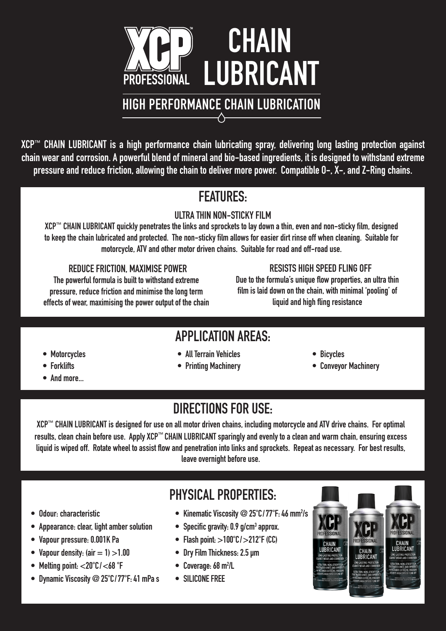

XCP™ CHAIN LUBRICANT is a high performance chain lubricating spray, delivering long lasting protection against chain wear and corrosion. A powerful blend of mineral and bio-based ingredients, it is designed to withstand extreme pressure and reduce friction, allowing the chain to deliver more power. Compatible O-, X-, and Z-Ring chains.

## FEATURES:

#### ULTRA THIN NON-STICKY FILM

XCP™ CHAIN LUBRICANT quickly penetrates the links and sprockets to lay down a thin, even and non-sticky film, designed to keep the chain lubricated and protected. The non-sticky film allows for easier dirt rinse off when cleaning. Suitable for motorcycle, ATV and other motor driven chains. Suitable for road and off-road use.

#### REDUCE FRICTION, MAXIMISE POWER RESISTS HIGH SPEED FLING OFF

The powerful formula is built to withstand extreme pressure, reduce friction and minimise the long term effects of wear, maximising the power output of the chain

Due to the formula's unique flow properties, an ultra thin film is laid down on the chain, with minimal 'pooling' of liquid and high fling resistance

## APPLICATION AREAS:

- 
- 
- And more...
- Motorcycles All Terrain Vehicles Bicycles
	-
- 
- Forklifts  **Printing Machinery Printing Machinery** Conveyor Machinery

# DIRECTIONS FOR USE:

XCP™ CHAIN LUBRICANT is designed for use on all motor driven chains, including motorcycle and ATV drive chains. For optimal results, clean chain before use. Apply XCP™ CHAIN LUBRICANT sparingly and evenly to a clean and warm chain, ensuring excess liquid is wiped off. Rotate wheel to assist flow and penetration into links and sprockets. Repeat as necessary. For best results, leave overnight before use.

- • Odour: characteristic
- • Appearance: clear, light amber solution
- Vapour pressure: 0.001K Pa
- Vapour density: (air  $= 1$ )  $>1.00$
- Melting point:  $<$ 20°C/ $<$ 68°F
- Dynamic Viscosity @ 25°C/77°F: 41 mPa s

# PHYSICAL PROPERTIES:

- Kinematic Viscosity @ 25°C/77°F: 46 mm<sup>2</sup>/s
- Specific gravity: 0.9 g/cm<sup>3</sup> approx.
- Flash point:  $>100^{\circ}$ C/ $>212^{\circ}$ F(CC)
- Dry Film Thickness: 2.5 µm
- Coverage: 68 m<sup>2</sup>/L
- SILICONE FREE